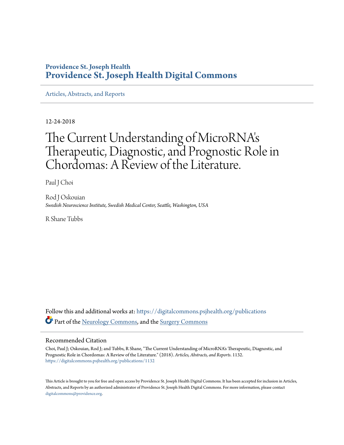## **Providence St. Joseph Health [Providence St. Joseph Health Digital Commons](https://digitalcommons.psjhealth.org?utm_source=digitalcommons.psjhealth.org%2Fpublications%2F1132&utm_medium=PDF&utm_campaign=PDFCoverPages)**

[Articles, Abstracts, and Reports](https://digitalcommons.psjhealth.org/publications?utm_source=digitalcommons.psjhealth.org%2Fpublications%2F1132&utm_medium=PDF&utm_campaign=PDFCoverPages)

12-24-2018

# The Current Understanding of MicroRNA' s Therapeutic, Diagnostic, and Prognostic Role in Chordomas: A Review of the Literature.

Paul J Choi

Rod J Oskouian *Swedish Neuroscience Institute, Swedish Medical Center, Seattle, Washington, USA*

R Shane Tubbs

Follow this and additional works at: [https://digitalcommons.psjhealth.org/publications](https://digitalcommons.psjhealth.org/publications?utm_source=digitalcommons.psjhealth.org%2Fpublications%2F1132&utm_medium=PDF&utm_campaign=PDFCoverPages) Part of the [Neurology Commons](http://network.bepress.com/hgg/discipline/692?utm_source=digitalcommons.psjhealth.org%2Fpublications%2F1132&utm_medium=PDF&utm_campaign=PDFCoverPages), and the [Surgery Commons](http://network.bepress.com/hgg/discipline/706?utm_source=digitalcommons.psjhealth.org%2Fpublications%2F1132&utm_medium=PDF&utm_campaign=PDFCoverPages)

#### Recommended Citation

Choi, Paul J; Oskouian, Rod J; and Tubbs, R Shane, "The Current Understanding of MicroRNA's Therapeutic, Diagnostic, and Prognostic Role in Chordomas: A Review of the Literature." (2018). *Articles, Abstracts, and Reports*. 1132. [https://digitalcommons.psjhealth.org/publications/1132](https://digitalcommons.psjhealth.org/publications/1132?utm_source=digitalcommons.psjhealth.org%2Fpublications%2F1132&utm_medium=PDF&utm_campaign=PDFCoverPages)

This Article is brought to you for free and open access by Providence St. Joseph Health Digital Commons. It has been accepted for inclusion in Articles, Abstracts, and Reports by an authorized administrator of Providence St. Joseph Health Digital Commons. For more information, please contact [digitalcommons@providence.org](mailto:digitalcommons@providence.org).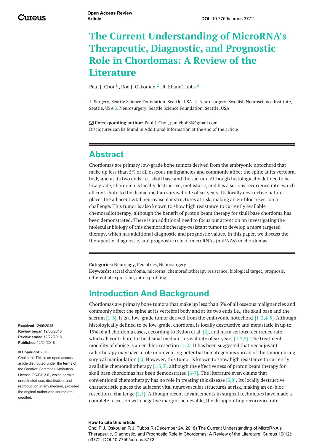# **The Current Understanding of MicroRNA's Therapeutic, Diagnostic, and Prognostic Role in Chordomas: A Review of the Literature**

Paul J. [Choi](https://www.cureus.com/users/54289-paul-j-choi)  $^1$  , Rod J. [Oskouian](https://www.cureus.com/users/15997-rod-j-oskouian)  $^2$  , R. [Shane](https://www.cureus.com/users/19677-r-shane-tubbs) Tubbs  $^3$ 

1. Surgery, Seattle Science Foundation, Seattle, USA 2. Neurosurgery, Swedish Neuroscience Institute, Seattle, USA 3. Neurosurgery, Seattle Science Foundation, Seattle, USA

 **Corresponding author:** Paul J. Choi, paulchoi92@gmail.com Disclosures can be found in Additional Information at the end of the article

## **Abstract**

Chordomas are primary low-grade bone tumors derived from the embryonic notochord that make up less than 5% of all osseous malignancies and commonly affect the spine at its vertebral body and at its two ends i.e., skull base and the sacrum. Although histologically defined to be low-grade, chordoma is locally destructive, metastatic, and has a serious recurrence rate, which all contribute to the dismal median survival rate of six years. Its locally destructive nature places the adjacent vital neurovascular structures at risk, making an en-bloc resection a challenge. This tumor is also known to show high resistance to currently available chemoradiotherapy, although the benefit of proton beam therapy for skull base chordoma has been demonstrated. There is an additional need to focus our attention on investigating the molecular biology of this chemoradiotherapy-resistant tumor to develop a more targeted therapy, which has additional diagnostic and prognostic values. In this paper, we discuss the therapeutic, diagnostic, and prognostic role of microRNAs (miRNAs) in chordomas.

**Categories:** Neurology, Pediatrics, Neurosurgery

**Keywords:** sacral chordoma, microrna, chemoradiotherapy resistance, biological target, prognosis, differential expression, mirna profiling

## **Introduction And Background**

Chordomas are primary bone tumors that make up less than 5% of all osseous malignancies and commonly affect the spine at its vertebral body and at its two ends i.e., the skull base and the sacrum  $[1-3]$ . It is a low-grade tumor derived from the embryonic notochord  $[1-2,4-5]$ . Although histologically defined to be low-grade, chordoma is locally destructive and metastatic in up to 19% of all chordoma cases, according to Bydon et al. [2], and has a serious recurrence rate, which all contribute to the dismal median survival rate of six years  $[2-3,5]$ . The treatment modality of choice is an en-bloc resection  $[1-2]$ . It has been suggested that neoadjuvant radiotherapy may have a role in preventing potential hematogenous spread of the tumor during surgical manipulation [2]. However, this tumor is known to show high resistance to currently available chemoradiotherapy  $[1,3,5]$ , although the effectiveness of proton beam therapy for skull base chordomas has been demonstrated [6-7]. The literature even claims that conventional chemotherapy has no role in treating this disease [3,8]. Its locally destructive characteristic places the adjacent vital neurovascular structures at risk, making an en-bloc resection a challenge [2,5]. Although recent advancements in surgical techniques have made a complete resection with negative margins achievable, the disappointing recurrence rate

#### **How to cite this article**

Choi P J, Oskouian R J, Tubbs R (December 24, 2018) The Current Understanding of MicroRNA's Therapeutic, Diagnostic, and Prognostic Role in Chordomas: A Review of the Literature. Cureus 10(12): e3772. DOI 10.7759/cureus.3772

**Received** 12/05/2018 **Review began** 12/05/2018 **Review ended** 12/22/2018 **Published** 12/24/2018

#### **© Copyright** 2018

Choi et al. This is an open access article distributed under the terms of the Creative Commons Attribution License CC-BY 3.0., which permits unrestricted use, distribution, and reproduction in any medium, provided the original author and source are credited.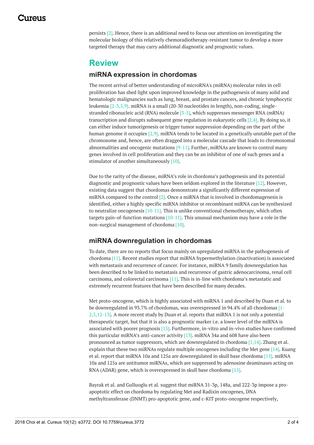persists [2]. Hence, there is an additional need to focus our attention on investigating the molecular biology of this relatively chemoradiotherapy-resistant tumor to develop a more targeted therapy that may carry additional diagnostic and prognostic values.

## **Review**

### **miRNA expression in chordomas**

The recent arrival of better understanding of microRNA's (miRNA) molecular roles in cell proliferation has shed light upon improved knowledge in the pathogenesis of many solid and hematologic malignancies such as lung, breast, and prostate cancers, and chronic lymphocytic leukemia [2-3,5,9]. miRNA is a small (20-30 nucleotides in length), non-coding, singlestranded ribonucleic acid (RNA) molecule [3-5], which suppresses messenger RNA (mRNA) transcription and disrupts subsequent gene regulation in eukaryotic cells [2,4]. By doing so, it can either induce tumorigenesis or trigger tumor suppression depending on the part of the human genome it occupies [2,9]. miRNA tends to be located in a genetically unstable part of the chromosome and, hence, are often dragged into a molecular cascade that leads to chromosomal abnormalities and oncogenic mutations [9-11]. Further, miRNAs are known to control many genes involved in cell proliferation and they can be an inhibitor of one of such genes and a stimulator of another simultaneously [10].

Due to the rarity of the disease, miRNA's role in chordoma's pathogenesis and its potential diagnostic and prognostic values have been seldom explored in the literature [12]. However, existing data suggest that chordomas demonstrate a significantly different expression of miRNA compared to the control  $[2]$ . Once a miRNA that is involved in chordomagenesis is identified, either a highly specific miRNA inhibitor or recombinant miRNA can be synthesized to neutralize oncogenesis  $[10-11]$ . This is unlike conventional chemotherapy, which often targets gain-of-function mutations  $[10-11]$ . This unusual mechanism may have a role in the non-surgical management of chordoma [10].

## **miRNA downregulation in chordomas**

To date, there are no reports that focus mainly on upregulated miRNA in the pathogenesis of chordoma [11]. Recent studies report that miRNA hypermethylation (inactivation) is associated with metastasis and recurrence of cancer. For instance, miRNA 9 family downregulation has been described to be linked to metastasis and recurrence of gastric adenocarcinoma, renal cell carcinoma, and colorectal carcinoma [11]. This is in-line with chordoma's metastatic and extremely recurrent features that have been described for many decades.

Met proto-oncogene, which is highly associated with miRNA 1 and described by Duan et al. to be downregulated in 93.7% of chordomas, was overexpressed in 94.4% of all chordomas [1- 2,5,12-13]. A more recent study by Duan et al. reports that miRNA 1 is not only a potential therapeutic target, but that it is also a prognostic marker i.e. a lower level of the miRNA is associated with poorer prognosis [13]. Furthermore, in-vitro and in-vivo studies have confirmed this particular miRNA's anti-cancer activity [13]. miRNA 34a and 608 have also been pronounced as tumor suppressors, which are downregulated in chordoma  $[1,14]$ . Zhang et al. explain that these two miRNAs regulate multiple oncogenes including the Met gene [14]. Kuang et al. report that miRNA 10a and 125a are downregulated in skull base chordoma [15]. miRNA 10a and 125a are antitumor miRNAs, which are suppressed by adenosine deaminases acting on RNA (ADAR) gene, which is overexpressed in skull base chordoma [15].

Bayrak et al. and Gulluoglu et al. suggest that miRNA 31-3p, 148a, and 222-3p impose a proapoptotic effect on chordoma by regulating Met and Radixin oncogenes, DNA methyltransferase (DNMT) pro-apoptotic gene, and c-KIT proto-oncogene respectively,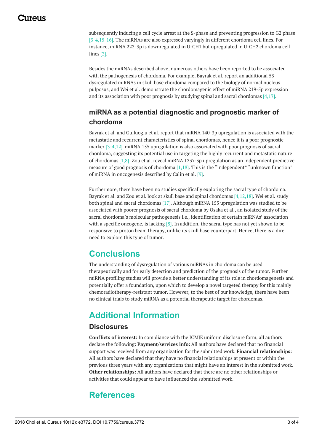## 117A119

subsequently inducing a cell cycle arrest at the S-phase and preventing progression to G2 phase [3-4,15-16]. The miRNAs are also expressed varyingly in different chordoma cell lines. For instance, miRNA 222-3p is downregulated in U-CH1 but upregulated in U-CH2 chordoma cell lines [3].

Besides the miRNAs described above, numerous others have been reported to be associated with the pathogenesis of chordoma. For example, Bayrak et al. report an additional 53 dysregulated miRNAs in skull base chordoma compared to the biology of normal nucleus pulposus, and Wei et al. demonstrate the chordomagenic effect of miRNA 219-5p expression and its association with poor prognosis by studying spinal and sacral chordomas  $[4,17]$ .

## **miRNA as a potential diagnostic and prognostic marker of chordoma**

Bayrak et al. and Gulluoglu et al. report that miRNA 140-3p upregulation is associated with the metastatic and recurrent characteristics of spinal chordomas, hence it is a poor prognostic marker [3-4,12]. miRNA 155 upregulation is also associated with poor prognosis of sacral chordoma, suggesting its potential use in targeting the highly recurrent and metastatic nature of chordomas [1,8]. Zou et al. reveal miRNA 1237-3p upregulation as an independent predictive measure of good prognosis of chordoma [1,18]. This is the "independent" "unknown function" of miRNA in oncogenesis described by Calin et al. [9].

Furthermore, there have been no studies specifically exploring the sacral type of chordoma. Bayrak et al. and Zou et al. look at skull base and spinal chordomas [4,12,18]. Wei et al. study both spinal and sacral chordomas [17]. Although miRNA 155 upregulation was studied to be associated with poorer prognosis of sacral chordoma by Osaka et al., an isolated study of the sacral chordoma's molecular pathogenesis i.e., identification of certain miRNAs' association with a specific oncogene, is lacking  $[8]$ . In addition, the sacral type has not yet shown to be responsive to proton beam therapy, unlike its skull base counterpart. Hence, there is a dire need to explore this type of tumor.

## **Conclusions**

The understanding of dysregulation of various miRNAs in chordoma can be used therapeutically and for early detection and prediction of the prognosis of the tumor. Further miRNA profiling studies will provide a better understanding of its role in chordomagenesis and potentially offer a foundation, upon which to develop a novel targeted therapy for this mainly chemoradiotherapy-resistant tumor. However, to the best of our knowledge, there have been no clinical trials to study miRNA as a potential therapeutic target for chordomas.

# **Additional Information**

## **Disclosures**

**Conflicts of interest:** In compliance with the ICMJE uniform disclosure form, all authors declare the following: **Payment/services info:** All authors have declared that no financial support was received from any organization for the submitted work. **Financial relationships:** All authors have declared that they have no financial relationships at present or within the previous three years with any organizations that might have an interest in the submitted work. **Other relationships:** All authors have declared that there are no other relationships or activities that could appear to have influenced the submitted work.

## **References**